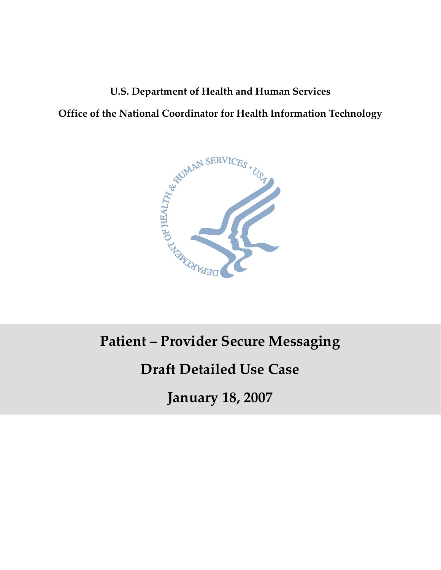## **U.S. Department of Health and Human Services**

**Office of the National Coordinator for Health Information Technology**



# **Patient – Provider Secure Messaging**

# **Draft Detailed Use Case**

 $\overline{\phantom{a}}$ **January 18, 2007**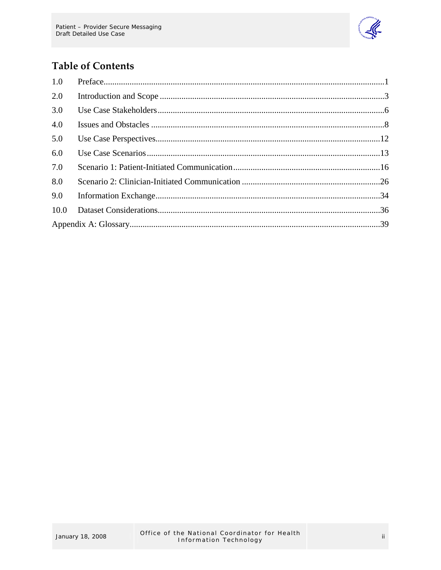

## **Table of Contents**

| 1.0  |  |  |  |
|------|--|--|--|
| 2.0  |  |  |  |
| 3.0  |  |  |  |
| 4.0  |  |  |  |
| 5.0  |  |  |  |
| 6.0  |  |  |  |
| 7.0  |  |  |  |
| 8.0  |  |  |  |
| 9.0  |  |  |  |
| 10.0 |  |  |  |
|      |  |  |  |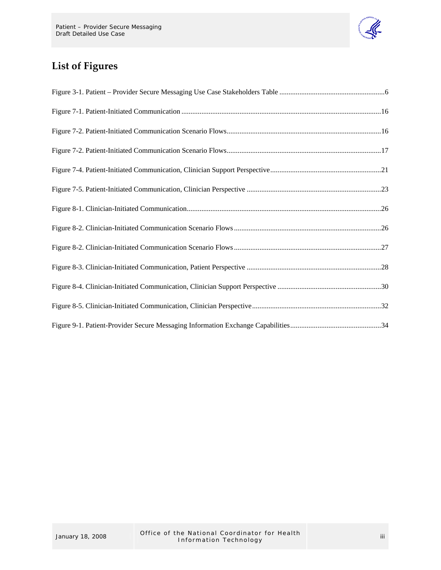

## **List of Figures**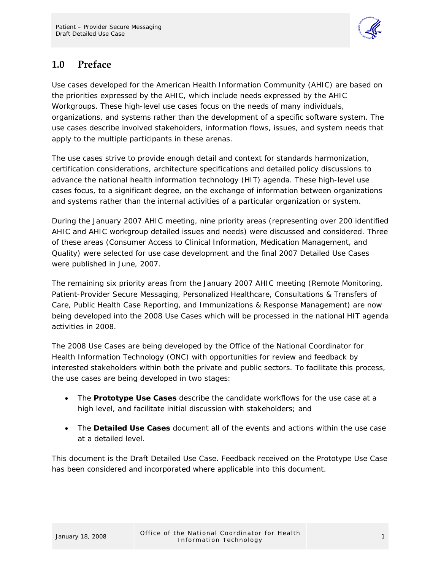

## <span id="page-3-0"></span>**1.0 Preface**

Use cases developed for the American Health Information Community (AHIC) are based on the priorities expressed by the AHIC, which include needs expressed by the AHIC Workgroups. These high-level use cases focus on the needs of many individuals, organizations, and systems rather than the development of a specific software system. The use cases describe involved stakeholders, information flows, issues, and system needs that apply to the multiple participants in these arenas.

The use cases strive to provide enough detail and context for standards harmonization, certification considerations, architecture specifications and detailed policy discussions to advance the national health information technology (HIT) agenda. These high-level use cases focus, to a significant degree, on the exchange of information between organizations and systems rather than the internal activities of a particular organization or system.

During the January 2007 AHIC meeting, nine priority areas (representing over 200 identified AHIC and AHIC workgroup detailed issues and needs) were discussed and considered. Three of these areas (Consumer Access to Clinical Information, Medication Management, and Quality) were selected for use case development and the final 2007 Detailed Use Cases were published in June, 2007.

The remaining six priority areas from the January 2007 AHIC meeting (Remote Monitoring, Patient-Provider Secure Messaging, Personalized Healthcare, Consultations & Transfers of Care, Public Health Case Reporting, and Immunizations & Response Management) are now being developed into the 2008 Use Cases which will be processed in the national HIT agenda activities in 2008.

The 2008 Use Cases are being developed by the Office of the National Coordinator for Health Information Technology (ONC) with opportunities for review and feedback by interested stakeholders within both the private and public sectors. To facilitate this process, the use cases are being developed in two stages:

- The **Prototype Use Cases** describe the candidate workflows for the use case at a high level, and facilitate initial discussion with stakeholders; and
- The **Detailed Use Cases** document all of the events and actions within the use case at a detailed level.

This document is the Draft Detailed Use Case. Feedback received on the Prototype Use Case has been considered and incorporated where applicable into this document.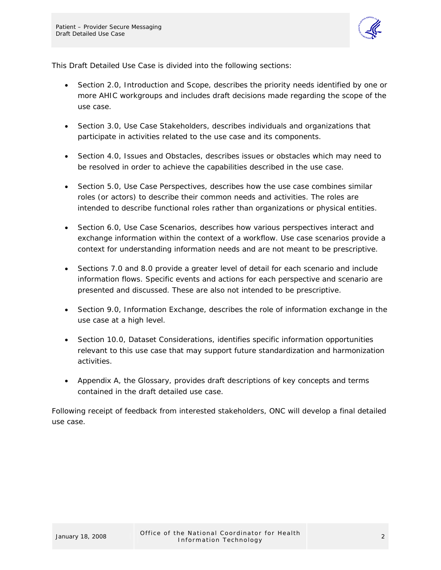

This Draft Detailed Use Case is divided into the following sections:

- Section 2.0, Introduction and Scope, describes the priority needs identified by one or more AHIC workgroups and includes draft decisions made regarding the scope of the use case.
- Section 3.0, Use Case Stakeholders, describes individuals and organizations that participate in activities related to the use case and its components.
- Section 4.0, Issues and Obstacles, describes issues or obstacles which may need to be resolved in order to achieve the capabilities described in the use case.
- Section 5.0, Use Case Perspectives, describes how the use case combines similar roles (or actors) to describe their common needs and activities. The roles are intended to describe functional roles rather than organizations or physical entities.
- Section 6.0, Use Case Scenarios, describes how various perspectives interact and exchange information within the context of a workflow. Use case scenarios provide a context for understanding information needs and are not meant to be prescriptive.
- Sections 7.0 and 8.0 provide a greater level of detail for each scenario and include information flows. Specific events and actions for each perspective and scenario are presented and discussed. These are also not intended to be prescriptive.
- Section 9.0, Information Exchange, describes the role of information exchange in the use case at a high level.
- Section 10.0, Dataset Considerations, identifies specific information opportunities relevant to this use case that may support future standardization and harmonization activities.
- Appendix A, the Glossary, provides draft descriptions of key concepts and terms contained in the draft detailed use case.

Following receipt of feedback from interested stakeholders, ONC will develop a final detailed use case.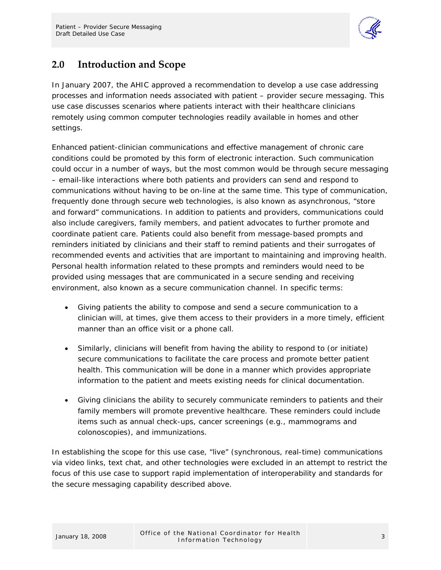

## <span id="page-5-0"></span>**2.0 Introduction and Scope**

In January 2007, the AHIC approved a recommendation to develop a use case addressing processes and information needs associated with patient – provider secure messaging. This use case discusses scenarios where patients interact with their healthcare clinicians remotely using common computer technologies readily available in homes and other settings.

Enhanced patient-clinician communications and effective management of chronic care conditions could be promoted by this form of electronic interaction. Such communication could occur in a number of ways, but the most common would be through secure messaging – email-like interactions where both patients and providers can send and respond to communications without having to be on-line at the same time. This type of communication, frequently done through secure web technologies, is also known as asynchronous, "store and forward" communications. In addition to patients and providers, communications could also include caregivers, family members, and patient advocates to further promote and coordinate patient care. Patients could also benefit from message-based prompts and reminders initiated by clinicians and their staff to remind patients and their surrogates of recommended events and activities that are important to maintaining and improving health. Personal health information related to these prompts and reminders would need to be provided using messages that are communicated in a secure sending and receiving environment, also known as a secure communication channel. In specific terms:

- Giving patients the ability to compose and send a secure communication to a clinician will, at times, give them access to their providers in a more timely, efficient manner than an office visit or a phone call.
- Similarly, clinicians will benefit from having the ability to respond to (or initiate) secure communications to facilitate the care process and promote better patient health. This communication will be done in a manner which provides appropriate information to the patient and meets existing needs for clinical documentation.
- Giving clinicians the ability to securely communicate reminders to patients and their family members will promote preventive healthcare. These reminders could include items such as annual check-ups, cancer screenings (e.g., mammograms and colonoscopies), and immunizations.

In establishing the scope for this use case, "live" (synchronous, real-time) communications via video links, text chat, and other technologies were excluded in an attempt to restrict the focus of this use case to support rapid implementation of interoperability and standards for the secure messaging capability described above.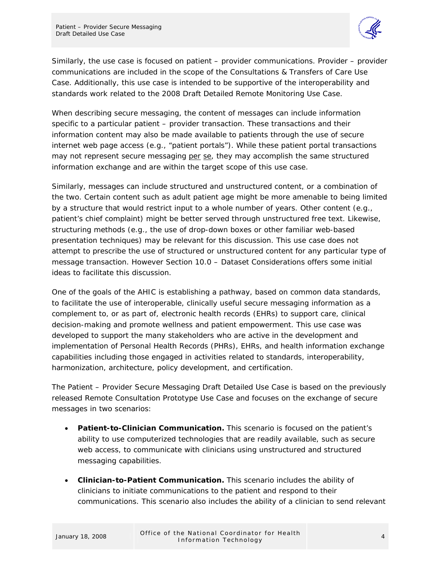

Similarly, the use case is focused on patient – provider communications. Provider – provider communications are included in the scope of the Consultations & Transfers of Care Use Case. Additionally, this use case is intended to be supportive of the interoperability and standards work related to the 2008 Draft Detailed Remote Monitoring Use Case.

When describing secure messaging, the content of messages can include information specific to a particular patient – provider transaction. These transactions and their information content may also be made available to patients through the use of secure internet web page access (e.g., "patient portals"). While these patient portal transactions may not represent secure messaging per se, they may accomplish the same structured information exchange and are within the target scope of this use case.

Similarly, messages can include structured and unstructured content, or a combination of the two. Certain content such as adult patient age might be more amenable to being limited by a structure that would restrict input to a whole number of years. Other content (e.g., patient's chief complaint) might be better served through unstructured free text. Likewise, structuring methods (e.g., the use of drop-down boxes or other familiar web-based presentation techniques) may be relevant for this discussion. This use case does not attempt to prescribe the use of structured or unstructured content for any particular type of message transaction. However Section 10.0 – Dataset Considerations offers some initial ideas to facilitate this discussion.

One of the goals of the AHIC is establishing a pathway, based on common data standards, to facilitate the use of interoperable, clinically useful secure messaging information as a complement to, or as part of, electronic health records (EHRs) to support care, clinical decision-making and promote wellness and patient empowerment. This use case was developed to support the many stakeholders who are active in the development and implementation of Personal Health Records (PHRs), EHRs, and health information exchange capabilities including those engaged in activities related to standards, interoperability, harmonization, architecture, policy development, and certification.

The Patient – Provider Secure Messaging Draft Detailed Use Case is based on the previously released Remote Consultation Prototype Use Case and focuses on the exchange of secure messages in two scenarios:

- **Patient-to-Clinician Communication.** This scenario is focused on the patient's ability to use computerized technologies that are readily available, such as secure web access, to communicate with clinicians using unstructured and structured messaging capabilities.
- **Clinician-to-Patient Communication.** This scenario includes the ability of clinicians to initiate communications to the patient and respond to their communications. This scenario also includes the ability of a clinician to send relevant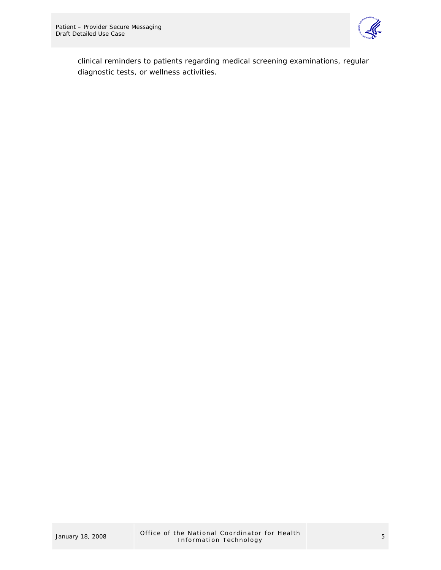

clinical reminders to patients regarding medical screening examinations, regular diagnostic tests, or wellness activities.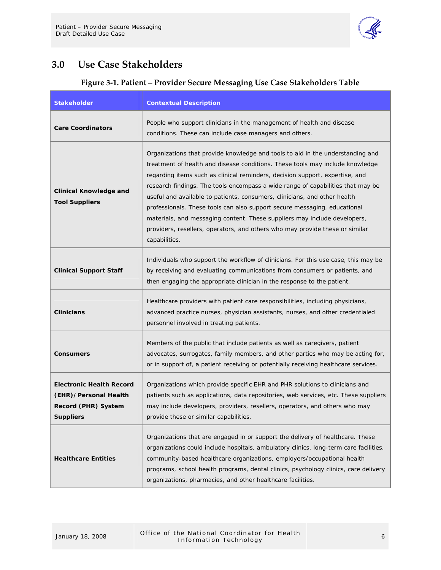

## <span id="page-8-0"></span>**3.0 Use Case Stakeholders**

#### **Figure 3‐1. Patient – Provider Secure Messaging Use Case Stakeholders Table**

| <b>Stakeholder</b>                                                                                  | <b>Contextual Description</b>                                                                                                                                                                                                                                                                                                                                                                                                                                                                                                                                                                                                                                              |
|-----------------------------------------------------------------------------------------------------|----------------------------------------------------------------------------------------------------------------------------------------------------------------------------------------------------------------------------------------------------------------------------------------------------------------------------------------------------------------------------------------------------------------------------------------------------------------------------------------------------------------------------------------------------------------------------------------------------------------------------------------------------------------------------|
| <b>Care Coordinators</b>                                                                            | People who support clinicians in the management of health and disease<br>conditions. These can include case managers and others.                                                                                                                                                                                                                                                                                                                                                                                                                                                                                                                                           |
| <b>Clinical Knowledge and</b><br><b>Tool Suppliers</b>                                              | Organizations that provide knowledge and tools to aid in the understanding and<br>treatment of health and disease conditions. These tools may include knowledge<br>regarding items such as clinical reminders, decision support, expertise, and<br>research findings. The tools encompass a wide range of capabilities that may be<br>useful and available to patients, consumers, clinicians, and other health<br>professionals. These tools can also support secure messaging, educational<br>materials, and messaging content. These suppliers may include developers,<br>providers, resellers, operators, and others who may provide these or similar<br>capabilities. |
| <b>Clinical Support Staff</b>                                                                       | Individuals who support the workflow of clinicians. For this use case, this may be<br>by receiving and evaluating communications from consumers or patients, and<br>then engaging the appropriate clinician in the response to the patient.                                                                                                                                                                                                                                                                                                                                                                                                                                |
| <b>Clinicians</b>                                                                                   | Healthcare providers with patient care responsibilities, including physicians,<br>advanced practice nurses, physician assistants, nurses, and other credentialed<br>personnel involved in treating patients.                                                                                                                                                                                                                                                                                                                                                                                                                                                               |
| <b>Consumers</b>                                                                                    | Members of the public that include patients as well as caregivers, patient<br>advocates, surrogates, family members, and other parties who may be acting for,<br>or in support of, a patient receiving or potentially receiving healthcare services.                                                                                                                                                                                                                                                                                                                                                                                                                       |
| <b>Electronic Health Record</b><br>(EHR)/Personal Health<br>Record (PHR) System<br><b>Suppliers</b> | Organizations which provide specific EHR and PHR solutions to clinicians and<br>patients such as applications, data repositories, web services, etc. These suppliers<br>may include developers, providers, resellers, operators, and others who may<br>provide these or similar capabilities.                                                                                                                                                                                                                                                                                                                                                                              |
| <b>Healthcare Entities</b>                                                                          | Organizations that are engaged in or support the delivery of healthcare. These<br>organizations could include hospitals, ambulatory clinics, long-term care facilities,<br>community-based healthcare organizations, employers/occupational health<br>programs, school health programs, dental clinics, psychology clinics, care delivery<br>organizations, pharmacies, and other healthcare facilities.                                                                                                                                                                                                                                                                   |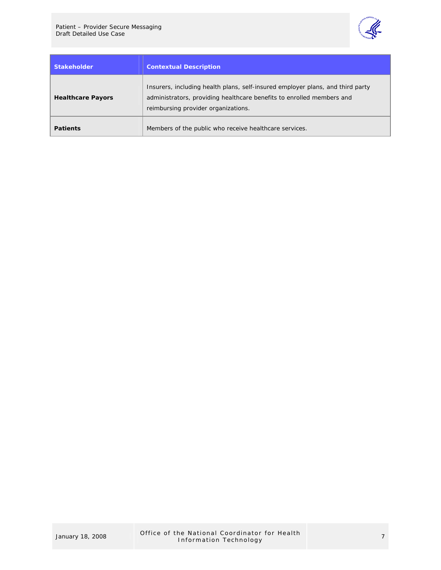

| Stakeholder <sup>1</sup> | <b>Contextual Description</b>                                                                                                                                                                  |
|--------------------------|------------------------------------------------------------------------------------------------------------------------------------------------------------------------------------------------|
| <b>Healthcare Payors</b> | Insurers, including health plans, self-insured employer plans, and third party<br>administrators, providing healthcare benefits to enrolled members and<br>reimbursing provider organizations. |
| <b>Patients</b>          | Members of the public who receive healthcare services.                                                                                                                                         |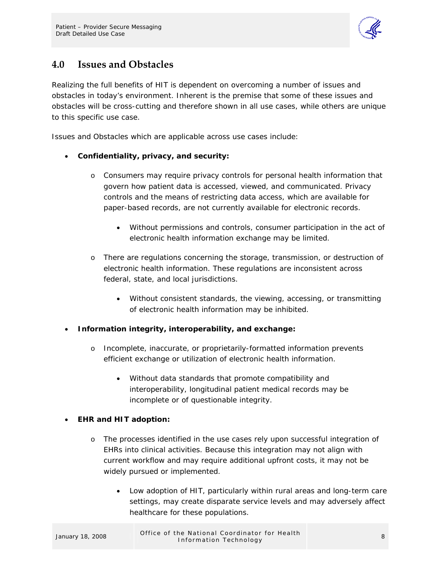

## <span id="page-10-0"></span>**4.0 Issues and Obstacles**

Realizing the full benefits of HIT is dependent on overcoming a number of issues and obstacles in today's environment. Inherent is the premise that some of these issues and obstacles will be cross-cutting and therefore shown in all use cases, while others are unique to this specific use case.

Issues and Obstacles which are applicable across use cases include:

#### • **Confidentiality, privacy, and security:**

- o Consumers may require privacy controls for personal health information that govern how patient data is accessed, viewed, and communicated. Privacy controls and the means of restricting data access, which are available for paper-based records, are not currently available for electronic records.
	- Without permissions and controls, consumer participation in the act of electronic health information exchange may be limited.
- o There are regulations concerning the storage, transmission, or destruction of electronic health information. These regulations are inconsistent across federal, state, and local jurisdictions.
	- Without consistent standards, the viewing, accessing, or transmitting of electronic health information may be inhibited.
- **Information integrity, interoperability, and exchange:** 
	- o Incomplete, inaccurate, or proprietarily-formatted information prevents efficient exchange or utilization of electronic health information.
		- Without data standards that promote compatibility and interoperability, longitudinal patient medical records may be incomplete or of questionable integrity.

#### • **EHR and HIT adoption:**

- o The processes identified in the use cases rely upon successful integration of EHRs into clinical activities. Because this integration may not align with current workflow and may require additional upfront costs, it may not be widely pursued or implemented.
	- Low adoption of HIT, particularly within rural areas and long-term care settings, may create disparate service levels and may adversely affect healthcare for these populations.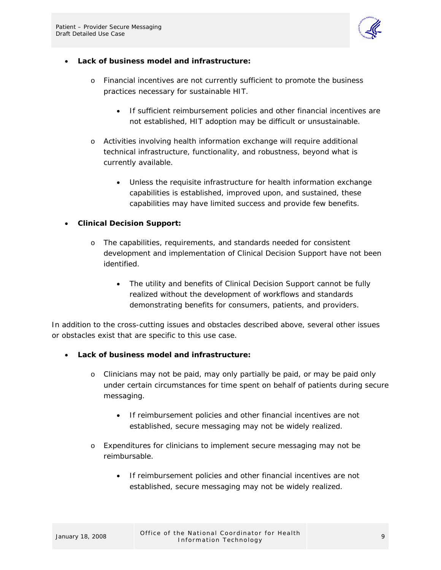

#### • **Lack of business model and infrastructure:**

- o Financial incentives are not currently sufficient to promote the business practices necessary for sustainable HIT.
	- If sufficient reimbursement policies and other financial incentives are not established, HIT adoption may be difficult or unsustainable.
- o Activities involving health information exchange will require additional technical infrastructure, functionality, and robustness, beyond what is currently available.
	- Unless the requisite infrastructure for health information exchange capabilities is established, improved upon, and sustained, these capabilities may have limited success and provide few benefits.

#### • **Clinical Decision Support:**

- o The capabilities, requirements, and standards needed for consistent development and implementation of Clinical Decision Support have not been identified.
	- The utility and benefits of Clinical Decision Support cannot be fully realized without the development of workflows and standards demonstrating benefits for consumers, patients, and providers.

In addition to the cross-cutting issues and obstacles described above, several other issues or obstacles exist that are specific to this use case.

- **Lack of business model and infrastructure:** 
	- o Clinicians may not be paid, may only partially be paid, or may be paid only under certain circumstances for time spent on behalf of patients during secure messaging.
		- If reimbursement policies and other financial incentives are not established, secure messaging may not be widely realized.
	- o Expenditures for clinicians to implement secure messaging may not be reimbursable.
		- If reimbursement policies and other financial incentives are not established, secure messaging may not be widely realized.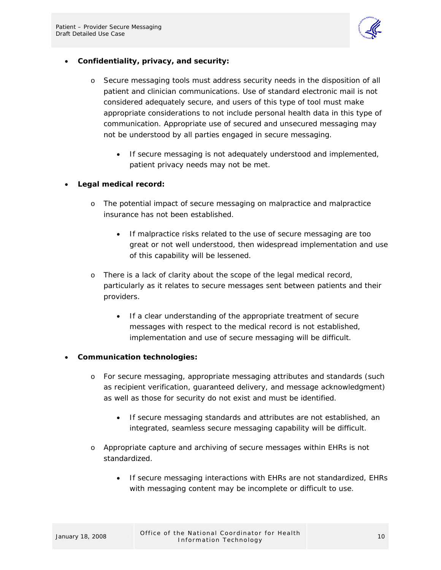

#### • **Confidentiality, privacy, and security:**

- o Secure messaging tools must address security needs in the disposition of all patient and clinician communications. Use of standard electronic mail is not considered adequately secure, and users of this type of tool must make appropriate considerations to not include personal health data in this type of communication. Appropriate use of secured and unsecured messaging may not be understood by all parties engaged in secure messaging.
	- If secure messaging is not adequately understood and implemented, patient privacy needs may not be met.

#### • **Legal medical record:**

- o The potential impact of secure messaging on malpractice and malpractice insurance has not been established.
	- If malpractice risks related to the use of secure messaging are too great or not well understood, then widespread implementation and use of this capability will be lessened.
- o There is a lack of clarity about the scope of the legal medical record, particularly as it relates to secure messages sent between patients and their providers.
	- If a clear understanding of the appropriate treatment of secure messages with respect to the medical record is not established, implementation and use of secure messaging will be difficult.

#### • **Communication technologies:**

- o For secure messaging, appropriate messaging attributes and standards (such as recipient verification, guaranteed delivery, and message acknowledgment) as well as those for security do not exist and must be identified.
	- If secure messaging standards and attributes are not established, an integrated, seamless secure messaging capability will be difficult.
- o Appropriate capture and archiving of secure messages within EHRs is not standardized.
	- If secure messaging interactions with EHRs are not standardized, EHRs with messaging content may be incomplete or difficult to use.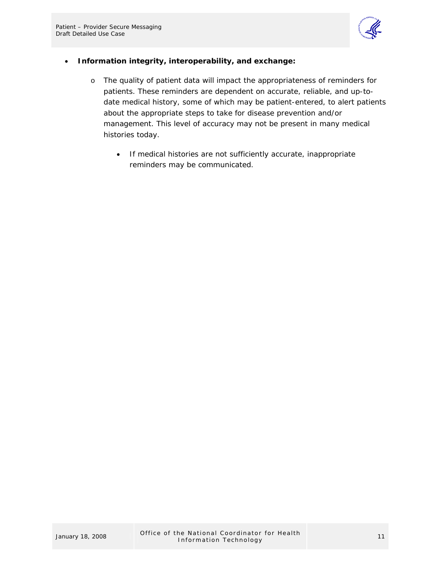

#### • **Information integrity, interoperability, and exchange:**

- o The quality of patient data will impact the appropriateness of reminders for patients. These reminders are dependent on accurate, reliable, and up-todate medical history, some of which may be patient-entered, to alert patients about the appropriate steps to take for disease prevention and/or management. This level of accuracy may not be present in many medical histories today.
	- If medical histories are not sufficiently accurate, inappropriate reminders may be communicated.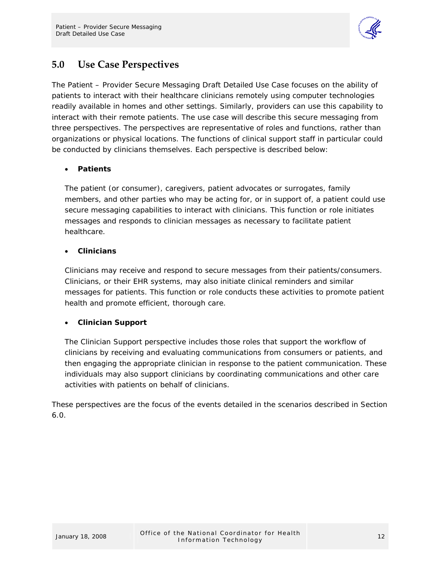

## <span id="page-14-0"></span>**5.0 Use Case Perspectives**

The Patient – Provider Secure Messaging Draft Detailed Use Case focuses on the ability of patients to interact with their healthcare clinicians remotely using computer technologies readily available in homes and other settings. Similarly, providers can use this capability to interact with their remote patients. The use case will describe this secure messaging from three perspectives. The perspectives are representative of roles and functions, rather than organizations or physical locations. The functions of clinical support staff in particular could be conducted by clinicians themselves. Each perspective is described below:

#### • **Patients**

The patient (or consumer), caregivers, patient advocates or surrogates, family members, and other parties who may be acting for, or in support of, a patient could use secure messaging capabilities to interact with clinicians. This function or role initiates messages and responds to clinician messages as necessary to facilitate patient healthcare.

#### • **Clinicians**

Clinicians may receive and respond to secure messages from their patients/consumers. Clinicians, or their EHR systems, may also initiate clinical reminders and similar messages for patients. This function or role conducts these activities to promote patient health and promote efficient, thorough care.

#### • **Clinician Support**

The Clinician Support perspective includes those roles that support the workflow of clinicians by receiving and evaluating communications from consumers or patients, and then engaging the appropriate clinician in response to the patient communication. These individuals may also support clinicians by coordinating communications and other care activities with patients on behalf of clinicians.

These perspectives are the focus of the events detailed in the scenarios described in Section 6.0.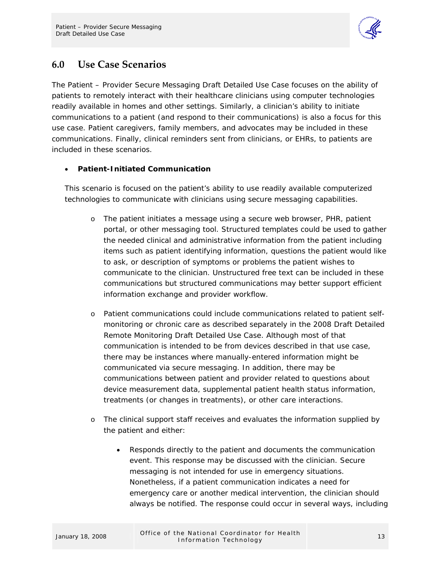

## <span id="page-15-0"></span>**6.0 Use Case Scenarios**

The Patient – Provider Secure Messaging Draft Detailed Use Case focuses on the ability of patients to remotely interact with their healthcare clinicians using computer technologies readily available in homes and other settings. Similarly, a clinician's ability to initiate communications to a patient (and respond to their communications) is also a focus for this use case. Patient caregivers, family members, and advocates may be included in these communications. Finally, clinical reminders sent from clinicians, or EHRs, to patients are included in these scenarios.

#### • **Patient-Initiated Communication**

This scenario is focused on the patient's ability to use readily available computerized technologies to communicate with clinicians using secure messaging capabilities.

- o The patient initiates a message using a secure web browser, PHR, patient portal, or other messaging tool. Structured templates could be used to gather the needed clinical and administrative information from the patient including items such as patient identifying information, questions the patient would like to ask, or description of symptoms or problems the patient wishes to communicate to the clinician. Unstructured free text can be included in these communications but structured communications may better support efficient information exchange and provider workflow.
- o Patient communications could include communications related to patient selfmonitoring or chronic care as described separately in the 2008 Draft Detailed Remote Monitoring Draft Detailed Use Case. Although most of that communication is intended to be from devices described in that use case, there may be instances where manually-entered information might be communicated via secure messaging. In addition, there may be communications between patient and provider related to questions about device measurement data, supplemental patient health status information, treatments (or changes in treatments), or other care interactions.
- o The clinical support staff receives and evaluates the information supplied by the patient and either:
	- Responds directly to the patient and documents the communication event. This response may be discussed with the clinician. Secure messaging is not intended for use in emergency situations. Nonetheless, if a patient communication indicates a need for emergency care or another medical intervention, the clinician should always be notified. The response could occur in several ways, including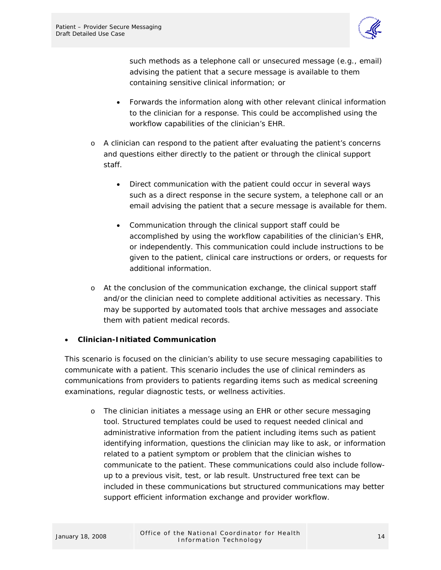

such methods as a telephone call or unsecured message (e.g., email) advising the patient that a secure message is available to them containing sensitive clinical information; or

- Forwards the information along with other relevant clinical information to the clinician for a response. This could be accomplished using the workflow capabilities of the clinician's EHR.
- o A clinician can respond to the patient after evaluating the patient's concerns and questions either directly to the patient or through the clinical support staff.
	- Direct communication with the patient could occur in several ways such as a direct response in the secure system, a telephone call or an email advising the patient that a secure message is available for them.
	- Communication through the clinical support staff could be accomplished by using the workflow capabilities of the clinician's EHR, or independently. This communication could include instructions to be given to the patient, clinical care instructions or orders, or requests for additional information.
- o At the conclusion of the communication exchange, the clinical support staff and/or the clinician need to complete additional activities as necessary. This may be supported by automated tools that archive messages and associate them with patient medical records.

#### • **Clinician-Initiated Communication**

This scenario is focused on the clinician's ability to use secure messaging capabilities to communicate with a patient. This scenario includes the use of clinical reminders as communications from providers to patients regarding items such as medical screening examinations, regular diagnostic tests, or wellness activities.

o The clinician initiates a message using an EHR or other secure messaging tool. Structured templates could be used to request needed clinical and administrative information from the patient including items such as patient identifying information, questions the clinician may like to ask, or information related to a patient symptom or problem that the clinician wishes to communicate to the patient. These communications could also include followup to a previous visit, test, or lab result. Unstructured free text can be included in these communications but structured communications may better support efficient information exchange and provider workflow.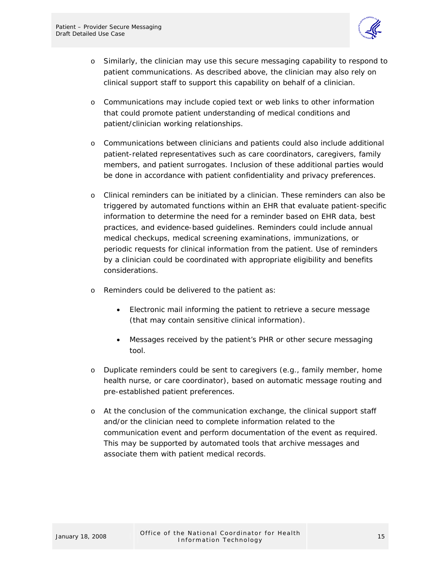

- o Similarly, the clinician may use this secure messaging capability to respond to patient communications. As described above, the clinician may also rely on clinical support staff to support this capability on behalf of a clinician.
- o Communications may include copied text or web links to other information that could promote patient understanding of medical conditions and patient/clinician working relationships.
- o Communications between clinicians and patients could also include additional patient-related representatives such as care coordinators, caregivers, family members, and patient surrogates. Inclusion of these additional parties would be done in accordance with patient confidentiality and privacy preferences.
- o Clinical reminders can be initiated by a clinician. These reminders can also be triggered by automated functions within an EHR that evaluate patient-specific information to determine the need for a reminder based on EHR data, best practices, and evidence-based guidelines. Reminders could include annual medical checkups, medical screening examinations, immunizations, or periodic requests for clinical information from the patient. Use of reminders by a clinician could be coordinated with appropriate eligibility and benefits considerations.
- o Reminders could be delivered to the patient as:
	- Electronic mail informing the patient to retrieve a secure message (that may contain sensitive clinical information).
	- Messages received by the patient's PHR or other secure messaging tool.
- o Duplicate reminders could be sent to caregivers (e.g., family member, home health nurse, or care coordinator), based on automatic message routing and pre-established patient preferences.
- o At the conclusion of the communication exchange, the clinical support staff and/or the clinician need to complete information related to the communication event and perform documentation of the event as required. This may be supported by automated tools that archive messages and associate them with patient medical records.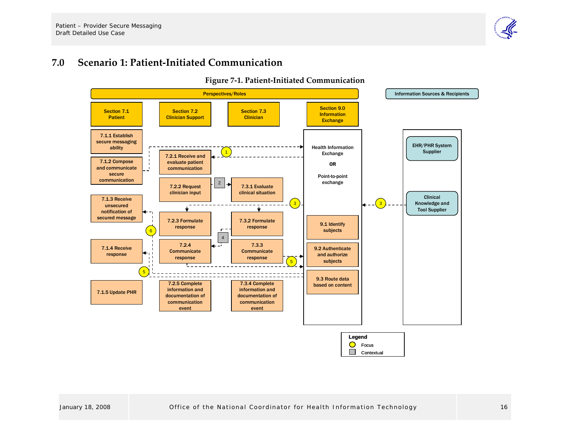#### **7.0Scenario 1: Patient‐Initiated Communication**

<span id="page-18-0"></span>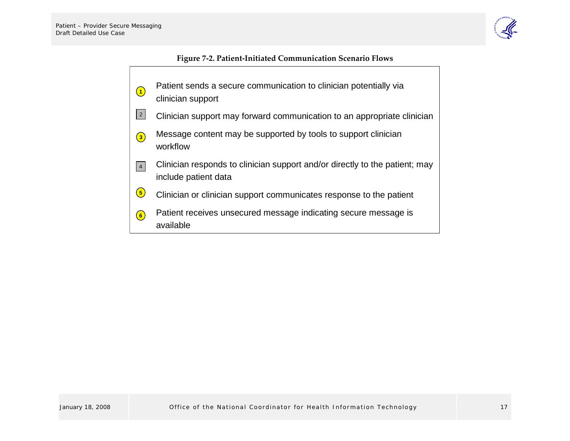

#### **Figure <sup>7</sup>‐2. Patient‐Initiated Communication Scenario Flows**

- Patient sends a secure communication to clinician potentially via clinician support **1**
- Clinician support may forward communication to an appropriate clinician 2
- Message content may be supported by tools to support clinician workflow**3**
- Clinician responds to clinician support and/or directly to the patient; may include patient data 4
- Clinician or clinician support communicates response to the patient **5**
- <span id="page-19-0"></span>Patient receives unsecured message indicating secure message is available**6**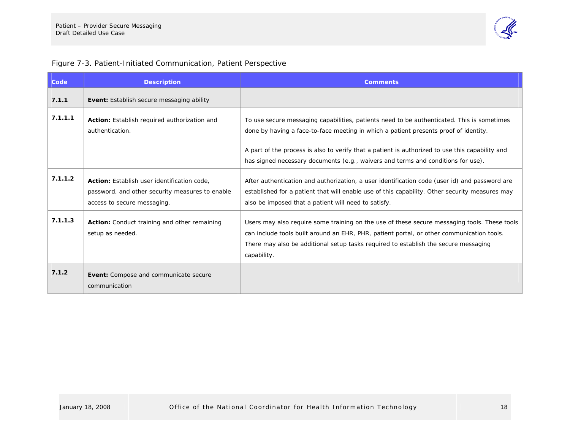

#### Figure 7-3. Patient-Initiated Communication, Patient Perspective

| Code    | <b>Description</b>                                                                                                            | <b>Comments</b>                                                                                                                                                                                                                                                                                 |
|---------|-------------------------------------------------------------------------------------------------------------------------------|-------------------------------------------------------------------------------------------------------------------------------------------------------------------------------------------------------------------------------------------------------------------------------------------------|
| 7.1.1   | Event: Establish secure messaging ability                                                                                     |                                                                                                                                                                                                                                                                                                 |
| 7.1.1.1 | Action: Establish required authorization and<br>authentication.                                                               | To use secure messaging capabilities, patients need to be authenticated. This is sometimes<br>done by having a face-to-face meeting in which a patient presents proof of identity.                                                                                                              |
|         |                                                                                                                               | A part of the process is also to verify that a patient is authorized to use this capability and<br>has signed necessary documents (e.g., waivers and terms and conditions for use).                                                                                                             |
| 7.1.1.2 | Action: Establish user identification code,<br>password, and other security measures to enable<br>access to secure messaging. | After authentication and authorization, a user identification code (user id) and password are<br>established for a patient that will enable use of this capability. Other security measures may<br>also be imposed that a patient will need to satisfy.                                         |
| 7.1.1.3 | Action: Conduct training and other remaining<br>setup as needed.                                                              | Users may also require some training on the use of these secure messaging tools. These tools<br>can include tools built around an EHR, PHR, patient portal, or other communication tools.<br>There may also be additional setup tasks required to establish the secure messaging<br>capability. |
| 7.1.2   | <b>Event:</b> Compose and communicate secure<br>communication                                                                 |                                                                                                                                                                                                                                                                                                 |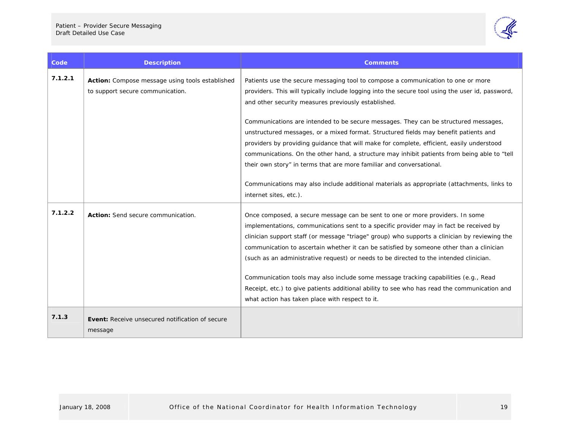

| Code    | <b>Description</b>                                                                  | <b>Comments</b>                                                                                                                                                                                                                                                                                                                                                                                                                                                                                                                                                                                                                                                                                          |
|---------|-------------------------------------------------------------------------------------|----------------------------------------------------------------------------------------------------------------------------------------------------------------------------------------------------------------------------------------------------------------------------------------------------------------------------------------------------------------------------------------------------------------------------------------------------------------------------------------------------------------------------------------------------------------------------------------------------------------------------------------------------------------------------------------------------------|
| 7.1.2.1 | Action: Compose message using tools established<br>to support secure communication. | Patients use the secure messaging tool to compose a communication to one or more<br>providers. This will typically include logging into the secure tool using the user id, password,<br>and other security measures previously established.                                                                                                                                                                                                                                                                                                                                                                                                                                                              |
|         |                                                                                     | Communications are intended to be secure messages. They can be structured messages,<br>unstructured messages, or a mixed format. Structured fields may benefit patients and<br>providers by providing quidance that will make for complete, efficient, easily understood<br>communications. On the other hand, a structure may inhibit patients from being able to "tell<br>their own story" in terms that are more familiar and conversational.                                                                                                                                                                                                                                                         |
|         |                                                                                     | Communications may also include additional materials as appropriate (attachments, links to<br>internet sites, etc.).                                                                                                                                                                                                                                                                                                                                                                                                                                                                                                                                                                                     |
| 7.1.2.2 | Action: Send secure communication.                                                  | Once composed, a secure message can be sent to one or more providers. In some<br>implementations, communications sent to a specific provider may in fact be received by<br>clinician support staff (or message "triage" group) who supports a clinician by reviewing the<br>communication to ascertain whether it can be satisfied by someone other than a clinician<br>(such as an administrative request) or needs to be directed to the intended clinician.<br>Communication tools may also include some message tracking capabilities (e.g., Read<br>Receipt, etc.) to give patients additional ability to see who has read the communication and<br>what action has taken place with respect to it. |
| 7.1.3   | Event: Receive unsecured notification of secure<br>message                          |                                                                                                                                                                                                                                                                                                                                                                                                                                                                                                                                                                                                                                                                                                          |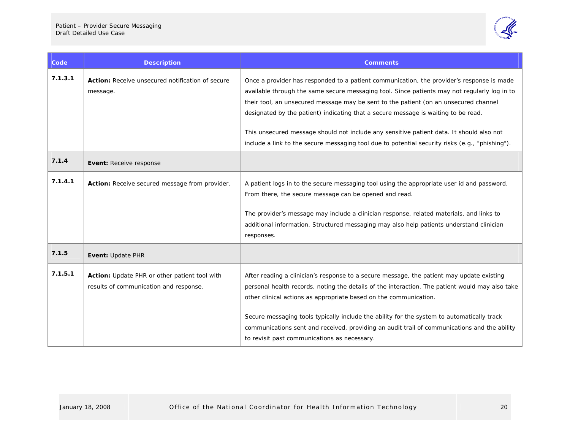

| Code    | <b>Description</b>                                                                      | <b>Comments</b>                                                                                                                                                                                                                                                                                                                                                                                                                                                                                                                                                        |
|---------|-----------------------------------------------------------------------------------------|------------------------------------------------------------------------------------------------------------------------------------------------------------------------------------------------------------------------------------------------------------------------------------------------------------------------------------------------------------------------------------------------------------------------------------------------------------------------------------------------------------------------------------------------------------------------|
| 7.1.3.1 | <b>Action:</b> Receive unsecured notification of secure<br>message.                     | Once a provider has responded to a patient communication, the provider's response is made<br>available through the same secure messaging tool. Since patients may not regularly log in to<br>their tool, an unsecured message may be sent to the patient (on an unsecured channel<br>designated by the patient) indicating that a secure message is waiting to be read.<br>This unsecured message should not include any sensitive patient data. It should also not<br>include a link to the secure messaging tool due to potential security risks (e.g., "phishing"). |
| 7.1.4   | Event: Receive response                                                                 |                                                                                                                                                                                                                                                                                                                                                                                                                                                                                                                                                                        |
| 7.1.4.1 | Action: Receive secured message from provider.                                          | A patient logs in to the secure messaging tool using the appropriate user id and password.<br>From there, the secure message can be opened and read.<br>The provider's message may include a clinician response, related materials, and links to<br>additional information. Structured messaging may also help patients understand clinician<br>responses.                                                                                                                                                                                                             |
| 7.1.5   | Event: Update PHR                                                                       |                                                                                                                                                                                                                                                                                                                                                                                                                                                                                                                                                                        |
| 7.1.5.1 | Action: Update PHR or other patient tool with<br>results of communication and response. | After reading a clinician's response to a secure message, the patient may update existing<br>personal health records, noting the details of the interaction. The patient would may also take<br>other clinical actions as appropriate based on the communication.<br>Secure messaging tools typically include the ability for the system to automatically track<br>communications sent and received, providing an audit trail of communications and the ability<br>to revisit past communications as necessary.                                                        |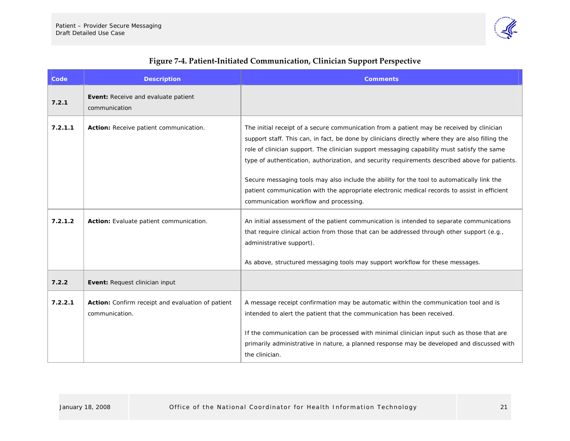

<span id="page-23-0"></span>

| Code    | <b>Description</b>                                                  | <b>Comments</b>                                                                                                                                                                                                                                                                                                                                                                                                                                                                              |
|---------|---------------------------------------------------------------------|----------------------------------------------------------------------------------------------------------------------------------------------------------------------------------------------------------------------------------------------------------------------------------------------------------------------------------------------------------------------------------------------------------------------------------------------------------------------------------------------|
| 7.2.1   | Event: Receive and evaluate patient<br>communication                |                                                                                                                                                                                                                                                                                                                                                                                                                                                                                              |
| 7.2.1.1 | Action: Receive patient communication.                              | The initial receipt of a secure communication from a patient may be received by clinician<br>support staff. This can, in fact, be done by clinicians directly where they are also filling the<br>role of clinician support. The clinician support messaging capability must satisfy the same<br>type of authentication, authorization, and security requirements described above for patients.<br>Secure messaging tools may also include the ability for the tool to automatically link the |
|         |                                                                     | patient communication with the appropriate electronic medical records to assist in efficient<br>communication workflow and processing.                                                                                                                                                                                                                                                                                                                                                       |
| 7.2.1.2 | Action: Evaluate patient communication.                             | An initial assessment of the patient communication is intended to separate communications<br>that require clinical action from those that can be addressed through other support (e.g.,<br>administrative support).                                                                                                                                                                                                                                                                          |
|         |                                                                     | As above, structured messaging tools may support workflow for these messages.                                                                                                                                                                                                                                                                                                                                                                                                                |
| 7.2.2   | Event: Request clinician input                                      |                                                                                                                                                                                                                                                                                                                                                                                                                                                                                              |
| 7.2.2.1 | Action: Confirm receipt and evaluation of patient<br>communication. | A message receipt confirmation may be automatic within the communication tool and is<br>intended to alert the patient that the communication has been received.                                                                                                                                                                                                                                                                                                                              |
|         |                                                                     | If the communication can be processed with minimal clinician input such as those that are<br>primarily administrative in nature, a planned response may be developed and discussed with<br>the clinician.                                                                                                                                                                                                                                                                                    |

### **Figure <sup>7</sup>‐4. Patient‐Initiated Communication, Clinician Support Perspective**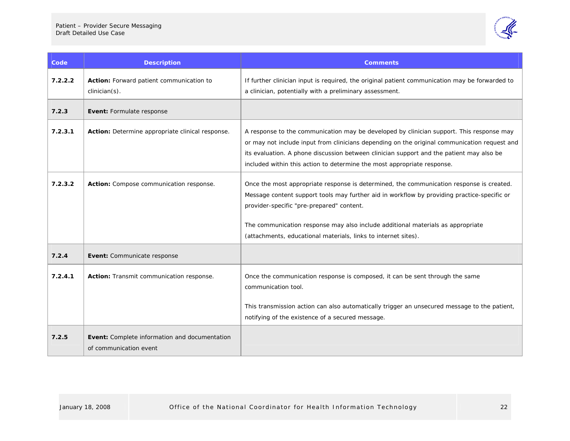

| <b>Code</b> | <b>Description</b>                                                      | <b>Comments</b>                                                                                                                                                                                                                                                                                                                                                                           |
|-------------|-------------------------------------------------------------------------|-------------------------------------------------------------------------------------------------------------------------------------------------------------------------------------------------------------------------------------------------------------------------------------------------------------------------------------------------------------------------------------------|
| 7.2.2.2     | Action: Forward patient communication to<br>$clinician(s)$ .            | If further clinician input is required, the original patient communication may be forwarded to<br>a clinician, potentially with a preliminary assessment.                                                                                                                                                                                                                                 |
| 7.2.3       | Event: Formulate response                                               |                                                                                                                                                                                                                                                                                                                                                                                           |
| 7.2.3.1     | Action: Determine appropriate clinical response.                        | A response to the communication may be developed by clinician support. This response may<br>or may not include input from clinicians depending on the original communication request and<br>its evaluation. A phone discussion between clinician support and the patient may also be<br>included within this action to determine the most appropriate response.                           |
| 7.2.3.2     | Action: Compose communication response.                                 | Once the most appropriate response is determined, the communication response is created.<br>Message content support tools may further aid in workflow by providing practice-specific or<br>provider-specific "pre-prepared" content.<br>The communication response may also include additional materials as appropriate<br>(attachments, educational materials, links to internet sites). |
| 7.2.4       | Event: Communicate response                                             |                                                                                                                                                                                                                                                                                                                                                                                           |
| 7.2.4.1     | Action: Transmit communication response.                                | Once the communication response is composed, it can be sent through the same<br>communication tool.<br>This transmission action can also automatically trigger an unsecured message to the patient,<br>notifying of the existence of a secured message.                                                                                                                                   |
| 7.2.5       | Event: Complete information and documentation<br>of communication event |                                                                                                                                                                                                                                                                                                                                                                                           |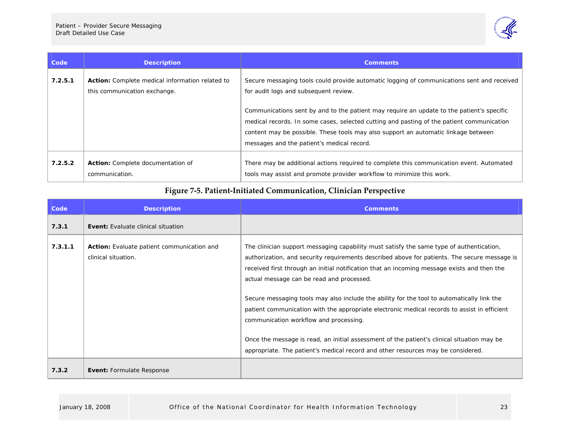

| Code    | <b>Description</b>                                                                     | <b>Comments</b>                                                                                                                                                                                                                                                                                                                                                                                                                                                   |
|---------|----------------------------------------------------------------------------------------|-------------------------------------------------------------------------------------------------------------------------------------------------------------------------------------------------------------------------------------------------------------------------------------------------------------------------------------------------------------------------------------------------------------------------------------------------------------------|
| 7.2.5.1 | <b>Action:</b> Complete medical information related to<br>this communication exchange. | Secure messaging tools could provide automatic logging of communications sent and received<br>for audit logs and subsequent review.<br>Communications sent by and to the patient may require an update to the patient's specific<br>medical records. In some cases, selected cutting and pasting of the patient communication<br>content may be possible. These tools may also support an automatic linkage between<br>messages and the patient's medical record. |
| 7.2.5.2 | Action: Complete documentation of<br>communication.                                    | There may be additional actions required to complete this communication event. Automated<br>tools may assist and promote provider workflow to minimize this work.                                                                                                                                                                                                                                                                                                 |

### **Figure <sup>7</sup>‐5. Patient‐Initiated Communication, Clinician Perspective**

<span id="page-25-0"></span>

| Code    | <b>Description</b>                                                | <b>Comments</b>                                                                                                                                                                                                                                                                                                                                                                                                                                                                                                                                                                                                                                                                                                                                                |
|---------|-------------------------------------------------------------------|----------------------------------------------------------------------------------------------------------------------------------------------------------------------------------------------------------------------------------------------------------------------------------------------------------------------------------------------------------------------------------------------------------------------------------------------------------------------------------------------------------------------------------------------------------------------------------------------------------------------------------------------------------------------------------------------------------------------------------------------------------------|
| 7.3.1   | <b>Event:</b> Evaluate clinical situation                         |                                                                                                                                                                                                                                                                                                                                                                                                                                                                                                                                                                                                                                                                                                                                                                |
| 7.3.1.1 | Action: Evaluate patient communication and<br>clinical situation. | The clinician support messaging capability must satisfy the same type of authentication,<br>authorization, and security requirements described above for patients. The secure message is<br>received first through an initial notification that an incoming message exists and then the<br>actual message can be read and processed.<br>Secure messaging tools may also include the ability for the tool to automatically link the<br>patient communication with the appropriate electronic medical records to assist in efficient<br>communication workflow and processing.<br>Once the message is read, an initial assessment of the patient's clinical situation may be<br>appropriate. The patient's medical record and other resources may be considered. |
| 7.3.2   | <b>Event: Formulate Response</b>                                  |                                                                                                                                                                                                                                                                                                                                                                                                                                                                                                                                                                                                                                                                                                                                                                |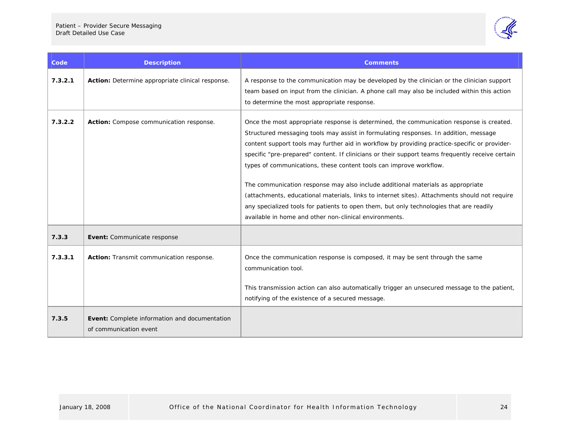

| Code <sup>'</sup> | <b>Description</b>                                                      | <b>Comments</b>                                                                                                                                                                                                                                                                                                                                                                                                                                                                                                                                                                                                                                                                                                                                                                                      |
|-------------------|-------------------------------------------------------------------------|------------------------------------------------------------------------------------------------------------------------------------------------------------------------------------------------------------------------------------------------------------------------------------------------------------------------------------------------------------------------------------------------------------------------------------------------------------------------------------------------------------------------------------------------------------------------------------------------------------------------------------------------------------------------------------------------------------------------------------------------------------------------------------------------------|
| 7.3.2.1           | Action: Determine appropriate clinical response.                        | A response to the communication may be developed by the clinician or the clinician support<br>team based on input from the clinician. A phone call may also be included within this action<br>to determine the most appropriate response.                                                                                                                                                                                                                                                                                                                                                                                                                                                                                                                                                            |
| 7.3.2.2           | Action: Compose communication response.                                 | Once the most appropriate response is determined, the communication response is created.<br>Structured messaging tools may assist in formulating responses. In addition, message<br>content support tools may further aid in workflow by providing practice-specific or provider-<br>specific "pre-prepared" content. If clinicians or their support teams frequently receive certain<br>types of communications, these content tools can improve workflow.<br>The communication response may also include additional materials as appropriate<br>(attachments, educational materials, links to internet sites). Attachments should not require<br>any specialized tools for patients to open them, but only technologies that are readily<br>available in home and other non-clinical environments. |
| 7.3.3             | Event: Communicate response                                             |                                                                                                                                                                                                                                                                                                                                                                                                                                                                                                                                                                                                                                                                                                                                                                                                      |
| 7.3.3.1           | Action: Transmit communication response.                                | Once the communication response is composed, it may be sent through the same<br>communication tool.<br>This transmission action can also automatically trigger an unsecured message to the patient,<br>notifying of the existence of a secured message.                                                                                                                                                                                                                                                                                                                                                                                                                                                                                                                                              |
| 7.3.5             | Event: Complete information and documentation<br>of communication event |                                                                                                                                                                                                                                                                                                                                                                                                                                                                                                                                                                                                                                                                                                                                                                                                      |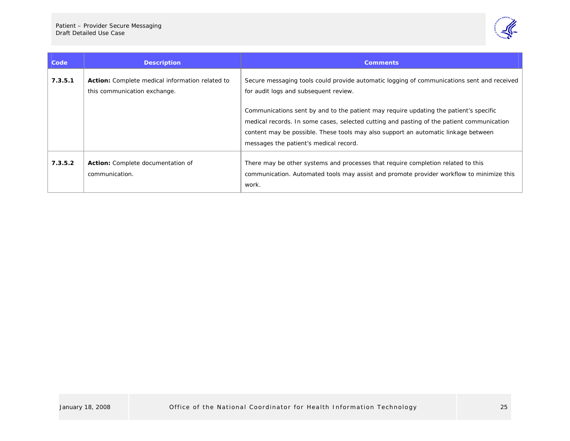

| Code    | <b>Description</b>                                                                     | <b>Comments</b>                                                                                                                                                                                                                                                                                                                                                                                                                                           |
|---------|----------------------------------------------------------------------------------------|-----------------------------------------------------------------------------------------------------------------------------------------------------------------------------------------------------------------------------------------------------------------------------------------------------------------------------------------------------------------------------------------------------------------------------------------------------------|
| 7.3.5.1 | <b>Action:</b> Complete medical information related to<br>this communication exchange. | Secure messaging tools could provide automatic logging of communications sent and received<br>for audit logs and subsequent review.<br>Communications sent by and to the patient may require updating the patient's specific<br>medical records. In some cases, selected cutting and pasting of the patient communication<br>content may be possible. These tools may also support an automatic linkage between<br>messages the patient's medical record. |
| 7.3.5.2 | Action: Complete documentation of<br>communication.                                    | There may be other systems and processes that require completion related to this<br>communication. Automated tools may assist and promote provider workflow to minimize this<br>work.                                                                                                                                                                                                                                                                     |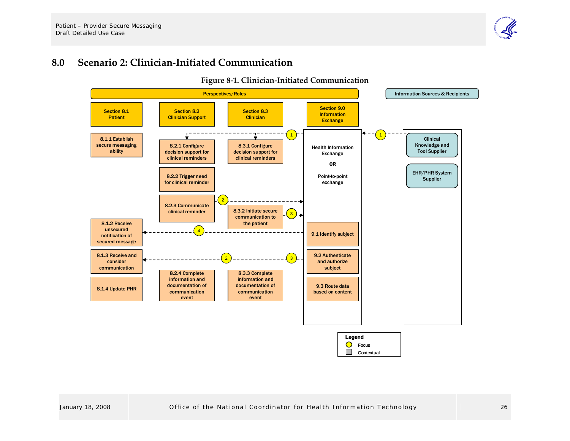#### **8.0Scenario 2: Clinician‐Initiated Communication**

<span id="page-28-0"></span>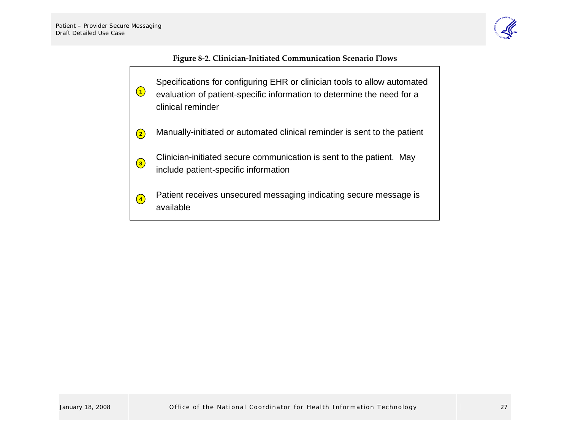

#### **Figure <sup>8</sup>‐2. Clinician‐Initiated Communication Scenario Flows**

<span id="page-29-0"></span>Specifications for configuring EHR or clinician tools to allow automated evaluation of patient-specific information to determine the need for a clinical reminderManually-initiated or automated clinical reminder is sent to the patient Clinician-initiated secure communication is sent to the patient. May include patient-specific information Patient receives unsecured messaging indicating secure message is available**3 1 4 2**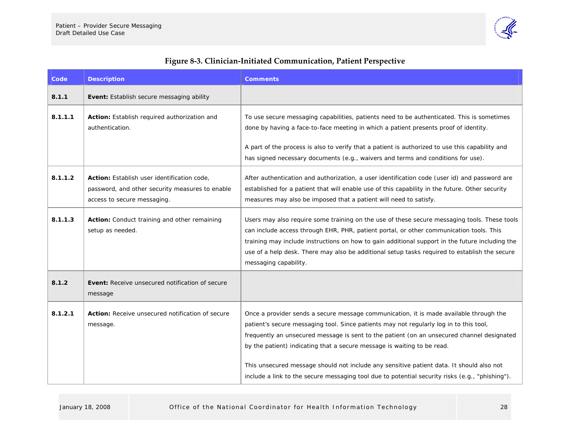

<span id="page-30-0"></span>

| Code    | <b>Description</b>                                                                                                            | <b>Comments</b>                                                                                                                                                                                                                                                                                                                                                                                                                                                                                                                                          |
|---------|-------------------------------------------------------------------------------------------------------------------------------|----------------------------------------------------------------------------------------------------------------------------------------------------------------------------------------------------------------------------------------------------------------------------------------------------------------------------------------------------------------------------------------------------------------------------------------------------------------------------------------------------------------------------------------------------------|
| 8.1.1   | Event: Establish secure messaging ability                                                                                     |                                                                                                                                                                                                                                                                                                                                                                                                                                                                                                                                                          |
| 8.1.1.1 | Action: Establish required authorization and<br>authentication.                                                               | To use secure messaging capabilities, patients need to be authenticated. This is sometimes<br>done by having a face-to-face meeting in which a patient presents proof of identity.<br>A part of the process is also to verify that a patient is authorized to use this capability and<br>has signed necessary documents (e.g., waivers and terms and conditions for use).                                                                                                                                                                                |
| 8.1.1.2 | Action: Establish user identification code,<br>password, and other security measures to enable<br>access to secure messaging. | After authentication and authorization, a user identification code (user id) and password are<br>established for a patient that will enable use of this capability in the future. Other security<br>measures may also be imposed that a patient will need to satisfy.                                                                                                                                                                                                                                                                                    |
| 8.1.1.3 | Action: Conduct training and other remaining<br>setup as needed.                                                              | Users may also require some training on the use of these secure messaging tools. These tools<br>can include access through EHR, PHR, patient portal, or other communication tools. This<br>training may include instructions on how to gain additional support in the future including the<br>use of a help desk. There may also be additional setup tasks required to establish the secure<br>messaging capability.                                                                                                                                     |
| 8.1.2   | Event: Receive unsecured notification of secure<br>message                                                                    |                                                                                                                                                                                                                                                                                                                                                                                                                                                                                                                                                          |
| 8.1.2.1 | Action: Receive unsecured notification of secure<br>message.                                                                  | Once a provider sends a secure message communication, it is made available through the<br>patient's secure messaging tool. Since patients may not regularly log in to this tool,<br>frequently an unsecured message is sent to the patient (on an unsecured channel designated<br>by the patient) indicating that a secure message is waiting to be read.<br>This unsecured message should not include any sensitive patient data. It should also not<br>include a link to the secure messaging tool due to potential security risks (e.g., "phishing"). |

## **Figure <sup>8</sup>‐3. Clinician‐Initiated Communication, Patient Perspective**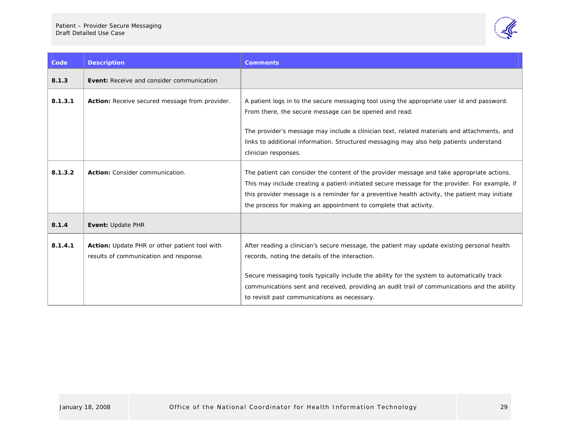

| Code    | <b>Description</b>                                                                      | <b>Comments</b>                                                                                                                                                                                                                                                                                                                                                    |
|---------|-----------------------------------------------------------------------------------------|--------------------------------------------------------------------------------------------------------------------------------------------------------------------------------------------------------------------------------------------------------------------------------------------------------------------------------------------------------------------|
| 8.1.3   | Event: Receive and consider communication                                               |                                                                                                                                                                                                                                                                                                                                                                    |
| 8.1.3.1 | Action: Receive secured message from provider.                                          | A patient logs in to the secure messaging tool using the appropriate user id and password.<br>From there, the secure message can be opened and read.                                                                                                                                                                                                               |
|         |                                                                                         | The provider's message may include a clinician text, related materials and attachments, and<br>links to additional information. Structured messaging may also help patients understand<br>clinician responses.                                                                                                                                                     |
| 8.1.3.2 | Action: Consider communication.                                                         | The patient can consider the content of the provider message and take appropriate actions.<br>This may include creating a patient-initiated secure message for the provider. For example, if<br>this provider message is a reminder for a preventive health activity, the patient may initiate<br>the process for making an appointment to complete that activity. |
| 8.1.4   | Event: Update PHR                                                                       |                                                                                                                                                                                                                                                                                                                                                                    |
| 8.1.4.1 | Action: Update PHR or other patient tool with<br>results of communication and response. | After reading a clinician's secure message, the patient may update existing personal health<br>records, noting the details of the interaction.<br>Secure messaging tools typically include the ability for the system to automatically track                                                                                                                       |
|         |                                                                                         | communications sent and received, providing an audit trail of communications and the ability<br>to revisit past communications as necessary.                                                                                                                                                                                                                       |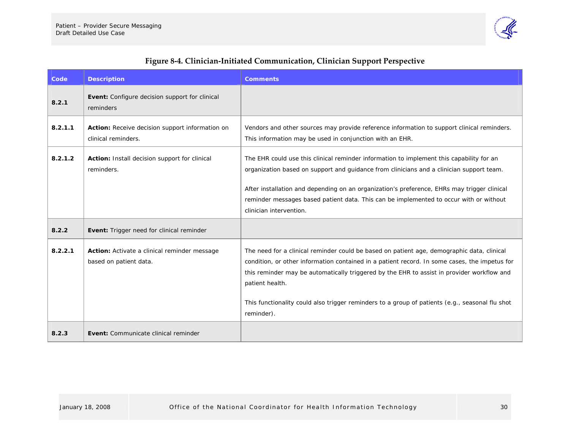

<span id="page-32-0"></span>

| Code    | <b>Description</b>                                                     | <b>Comments</b>                                                                                                                                                                                                                                                                                                                                                                                                               |
|---------|------------------------------------------------------------------------|-------------------------------------------------------------------------------------------------------------------------------------------------------------------------------------------------------------------------------------------------------------------------------------------------------------------------------------------------------------------------------------------------------------------------------|
| 8.2.1   | <b>Event:</b> Configure decision support for clinical<br>reminders     |                                                                                                                                                                                                                                                                                                                                                                                                                               |
| 8.2.1.1 | Action: Receive decision support information on<br>clinical reminders. | Vendors and other sources may provide reference information to support clinical reminders.<br>This information may be used in conjunction with an EHR.                                                                                                                                                                                                                                                                        |
| 8.2.1.2 | Action: Install decision support for clinical<br>reminders.            | The EHR could use this clinical reminder information to implement this capability for an<br>organization based on support and guidance from clinicians and a clinician support team.<br>After installation and depending on an organization's preference, EHRs may trigger clinical<br>reminder messages based patient data. This can be implemented to occur with or without<br>clinician intervention.                      |
| 8.2.2   | <b>Event:</b> Trigger need for clinical reminder                       |                                                                                                                                                                                                                                                                                                                                                                                                                               |
| 8.2.2.1 | Action: Activate a clinical reminder message<br>based on patient data. | The need for a clinical reminder could be based on patient age, demographic data, clinical<br>condition, or other information contained in a patient record. In some cases, the impetus for<br>this reminder may be automatically triggered by the EHR to assist in provider workflow and<br>patient health.<br>This functionality could also trigger reminders to a group of patients (e.g., seasonal flu shot<br>reminder). |
| 8.2.3   | Event: Communicate clinical reminder                                   |                                                                                                                                                                                                                                                                                                                                                                                                                               |

### **Figure <sup>8</sup>‐4. Clinician‐Initiated Communication, Clinician Support Perspective**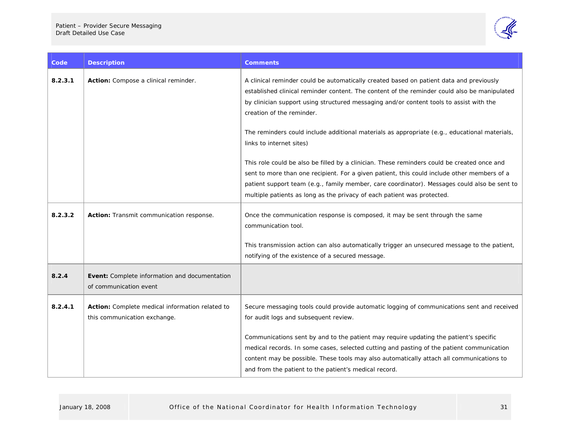

| Code    | <b>Description</b>                                                              | <b>Comments</b>                                                                                                                                                                                                                                                                                                                                                                                                                                                                                                                                                                                                                                                                                                                            |
|---------|---------------------------------------------------------------------------------|--------------------------------------------------------------------------------------------------------------------------------------------------------------------------------------------------------------------------------------------------------------------------------------------------------------------------------------------------------------------------------------------------------------------------------------------------------------------------------------------------------------------------------------------------------------------------------------------------------------------------------------------------------------------------------------------------------------------------------------------|
| 8.2.3.1 | Action: Compose a clinical reminder.                                            | A clinical reminder could be automatically created based on patient data and previously<br>established clinical reminder content. The content of the reminder could also be manipulated<br>by clinician support using structured messaging and/or content tools to assist with the<br>creation of the reminder.<br>The reminders could include additional materials as appropriate (e.g., educational materials,<br>links to internet sites)<br>This role could be also be filled by a clinician. These reminders could be created once and<br>sent to more than one recipient. For a given patient, this could include other members of a<br>patient support team (e.g., family member, care coordinator). Messages could also be sent to |
|         |                                                                                 | multiple patients as long as the privacy of each patient was protected.                                                                                                                                                                                                                                                                                                                                                                                                                                                                                                                                                                                                                                                                    |
| 8.2.3.2 | Action: Transmit communication response.                                        | Once the communication response is composed, it may be sent through the same<br>communication tool.<br>This transmission action can also automatically trigger an unsecured message to the patient,<br>notifying of the existence of a secured message.                                                                                                                                                                                                                                                                                                                                                                                                                                                                                    |
| 8.2.4   | Event: Complete information and documentation<br>of communication event         |                                                                                                                                                                                                                                                                                                                                                                                                                                                                                                                                                                                                                                                                                                                                            |
| 8.2.4.1 | Action: Complete medical information related to<br>this communication exchange. | Secure messaging tools could provide automatic logging of communications sent and received<br>for audit logs and subsequent review.                                                                                                                                                                                                                                                                                                                                                                                                                                                                                                                                                                                                        |
|         |                                                                                 | Communications sent by and to the patient may require updating the patient's specific<br>medical records. In some cases, selected cutting and pasting of the patient communication<br>content may be possible. These tools may also automatically attach all communications to<br>and from the patient to the patient's medical record.                                                                                                                                                                                                                                                                                                                                                                                                    |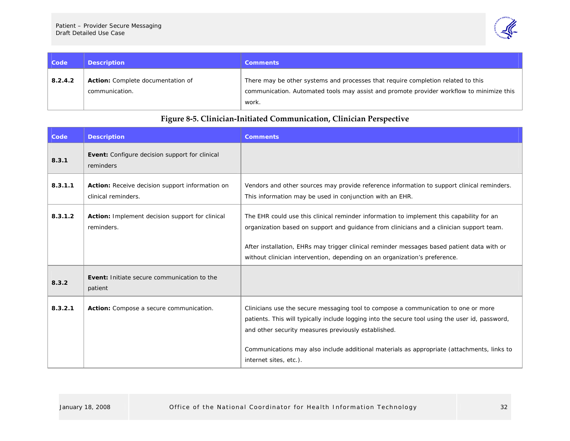

| Code    | <b>Description</b>                                         | <b>Comments</b>                                                                                                                                                              |
|---------|------------------------------------------------------------|------------------------------------------------------------------------------------------------------------------------------------------------------------------------------|
| 8.2.4.2 | <b>Action:</b> Complete documentation of<br>communication. | There may be other systems and processes that require completion related to this<br>communication. Automated tools may assist and promote provider workflow to minimize this |
|         |                                                            | work.                                                                                                                                                                        |

### **Figure <sup>8</sup>‐5. Clinician‐Initiated Communication, Clinician Perspective**

<span id="page-34-0"></span>

| Code    | <b>Description</b>                                                     | <b>Comments</b>                                                                                                                                                                                                                                                                                                                                                      |
|---------|------------------------------------------------------------------------|----------------------------------------------------------------------------------------------------------------------------------------------------------------------------------------------------------------------------------------------------------------------------------------------------------------------------------------------------------------------|
| 8.3.1   | Event: Configure decision support for clinical<br>reminders            |                                                                                                                                                                                                                                                                                                                                                                      |
| 8.3.1.1 | Action: Receive decision support information on<br>clinical reminders. | Vendors and other sources may provide reference information to support clinical reminders.<br>This information may be used in conjunction with an EHR.                                                                                                                                                                                                               |
| 8.3.1.2 | Action: Implement decision support for clinical<br>reminders.          | The EHR could use this clinical reminder information to implement this capability for an<br>organization based on support and quidance from clinicians and a clinician support team.<br>After installation, EHRs may trigger clinical reminder messages based patient data with or<br>without clinician intervention, depending on an organization's preference.     |
| 8.3.2   | <b>Event:</b> Initiate secure communication to the<br>patient          |                                                                                                                                                                                                                                                                                                                                                                      |
| 8.3.2.1 | Action: Compose a secure communication.                                | Clinicians use the secure messaging tool to compose a communication to one or more<br>patients. This will typically include logging into the secure tool using the user id, password,<br>and other security measures previously established.<br>Communications may also include additional materials as appropriate (attachments, links to<br>internet sites, etc.). |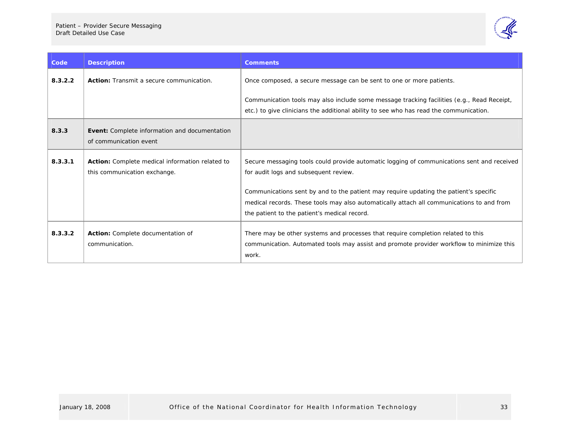

| Code    | <b>Description</b>                                                                     | <b>Comments</b>                                                                                                                                                                                                                                                                                                                                                           |
|---------|----------------------------------------------------------------------------------------|---------------------------------------------------------------------------------------------------------------------------------------------------------------------------------------------------------------------------------------------------------------------------------------------------------------------------------------------------------------------------|
| 8.3.2.2 | Action: Transmit a secure communication.                                               | Once composed, a secure message can be sent to one or more patients.                                                                                                                                                                                                                                                                                                      |
|         |                                                                                        | Communication tools may also include some message tracking facilities (e.g., Read Receipt,<br>etc.) to give clinicians the additional ability to see who has read the communication.                                                                                                                                                                                      |
| 8.3.3   | Event: Complete information and documentation<br>of communication event                |                                                                                                                                                                                                                                                                                                                                                                           |
| 8.3.3.1 | <b>Action:</b> Complete medical information related to<br>this communication exchange. | Secure messaging tools could provide automatic logging of communications sent and received<br>for audit logs and subsequent review.<br>Communications sent by and to the patient may require updating the patient's specific<br>medical records. These tools may also automatically attach all communications to and from<br>the patient to the patient's medical record. |
| 8.3.3.2 | Action: Complete documentation of<br>communication.                                    | There may be other systems and processes that require completion related to this<br>communication. Automated tools may assist and promote provider workflow to minimize this<br>work.                                                                                                                                                                                     |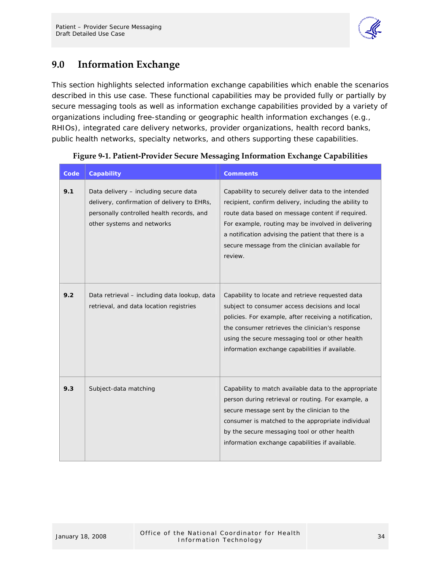

## <span id="page-36-0"></span>**9.0 Information Exchange**

This section highlights selected information exchange capabilities which enable the scenarios described in this use case. These functional capabilities may be provided fully or partially by secure messaging tools as well as information exchange capabilities provided by a variety of organizations including free-standing or geographic health information exchanges (e.g., RHIOs), integrated care delivery networks, provider organizations, health record banks, public health networks, specialty networks, and others supporting these capabilities.

| Code | Capability                                                                                                                                                      | <b>Comments</b>                                                                                                                                                                                                                                                                                                                             |
|------|-----------------------------------------------------------------------------------------------------------------------------------------------------------------|---------------------------------------------------------------------------------------------------------------------------------------------------------------------------------------------------------------------------------------------------------------------------------------------------------------------------------------------|
| 9.1  | Data delivery - including secure data<br>delivery, confirmation of delivery to EHRs,<br>personally controlled health records, and<br>other systems and networks | Capability to securely deliver data to the intended<br>recipient, confirm delivery, including the ability to<br>route data based on message content if required.<br>For example, routing may be involved in delivering<br>a notification advising the patient that there is a<br>secure message from the clinician available for<br>review. |
| 9.2  | Data retrieval - including data lookup, data<br>retrieval, and data location registries                                                                         | Capability to locate and retrieve requested data<br>subject to consumer access decisions and local<br>policies. For example, after receiving a notification,<br>the consumer retrieves the clinician's response<br>using the secure messaging tool or other health<br>information exchange capabilities if available.                       |
| 9.3  | Subject-data matching                                                                                                                                           | Capability to match available data to the appropriate<br>person during retrieval or routing. For example, a<br>secure message sent by the clinician to the<br>consumer is matched to the appropriate individual<br>by the secure messaging tool or other health<br>information exchange capabilities if available.                          |

#### **Figure 9‐1. Patient‐Provider Secure Messaging Information Exchange Capabilities**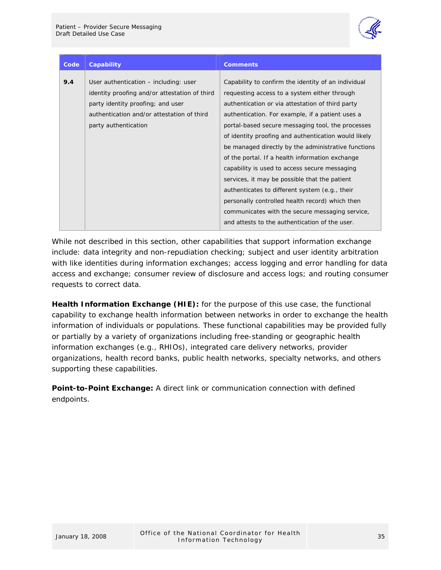

| Code | Capability                                                                                                                                                                | <b>Comments</b>                                                                                                                                                                                                                                                                                          |
|------|---------------------------------------------------------------------------------------------------------------------------------------------------------------------------|----------------------------------------------------------------------------------------------------------------------------------------------------------------------------------------------------------------------------------------------------------------------------------------------------------|
| 9.4  | User authentication – including: user<br>identity proofing and/or attestation of third<br>party identity proofing; and user<br>authentication and/or attestation of third | Capability to confirm the identity of an individual<br>requesting access to a system either through<br>authentication or via attestation of third party                                                                                                                                                  |
|      | party authentication                                                                                                                                                      | authentication. For example, if a patient uses a<br>portal-based secure messaging tool, the processes<br>of identity proofing and authentication would likely<br>be managed directly by the administrative functions<br>of the portal. If a health information exchange                                  |
|      |                                                                                                                                                                           | capability is used to access secure messaging<br>services, it may be possible that the patient<br>authenticates to different system (e.g., their<br>personally controlled health record) which then<br>communicates with the secure messaging service,<br>and attests to the authentication of the user. |

While not described in this section, other capabilities that support information exchange include: data integrity and non-repudiation checking; subject and user identity arbitration with like identities during information exchanges; access logging and error handling for data access and exchange; consumer review of disclosure and access logs; and routing consumer requests to correct data.

**Health Information Exchange (HIE):** for the purpose of this use case, the functional capability to exchange health information between networks in order to exchange the health information of individuals or populations. These functional capabilities may be provided fully or partially by a variety of organizations including free-standing or geographic health information exchanges (e.g., RHIOs), integrated care delivery networks, provider organizations, health record banks, public health networks, specialty networks, and others supporting these capabilities.

**Point-to-Point Exchange:** A direct link or communication connection with defined endpoints.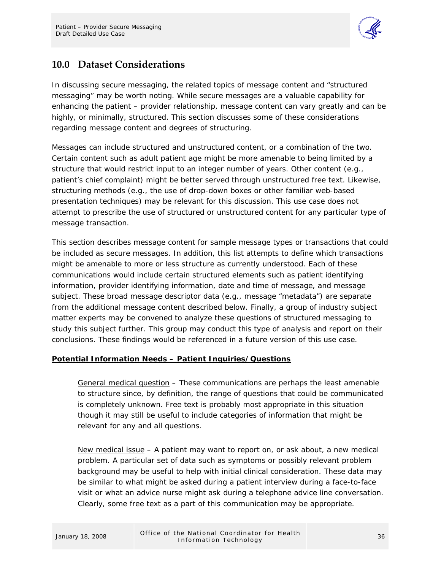

## <span id="page-38-0"></span>**10.0 Dataset Considerations**

In discussing secure messaging, the related topics of message content and "structured messaging" may be worth noting. While secure messages are a valuable capability for enhancing the patient – provider relationship, message content can vary greatly and can be highly, or minimally, structured. This section discusses some of these considerations regarding message content and degrees of structuring.

Messages can include structured and unstructured content, or a combination of the two. Certain content such as adult patient age might be more amenable to being limited by a structure that would restrict input to an integer number of years. Other content (e.g., patient's chief complaint) might be better served through unstructured free text. Likewise, structuring methods (e.g., the use of drop-down boxes or other familiar web-based presentation techniques) may be relevant for this discussion. This use case does not attempt to prescribe the use of structured or unstructured content for any particular type of message transaction.

This section describes message content for sample message types or transactions that could be included as secure messages. In addition, this list attempts to define which transactions might be amenable to more or less structure as currently understood. Each of these communications would include certain structured elements such as patient identifying information, provider identifying information, date and time of message, and message subject. These broad message descriptor data (e.g., message "metadata") are separate from the additional message content described below. Finally, a group of industry subject matter experts may be convened to analyze these questions of structured messaging to study this subject further. This group may conduct this type of analysis and report on their conclusions. These findings would be referenced in a future version of this use case.

#### **Potential Information Needs – Patient Inquiries/Questions**

General medical question – These communications are perhaps the least amenable to structure since, by definition, the range of questions that could be communicated is completely unknown. Free text is probably most appropriate in this situation though it may still be useful to include categories of information that might be relevant for any and all questions.

New medical issue – A patient may want to report on, or ask about, a new medical problem. A particular set of data such as symptoms or possibly relevant problem background may be useful to help with initial clinical consideration. These data may be similar to what might be asked during a patient interview during a face-to-face visit or what an advice nurse might ask during a telephone advice line conversation. Clearly, some free text as a part of this communication may be appropriate.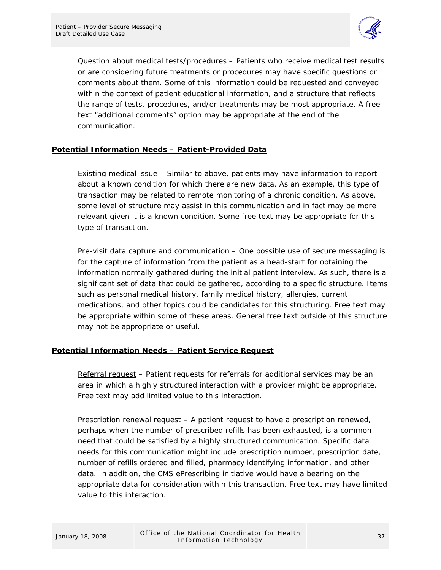

Question about medical tests/procedures – Patients who receive medical test results or are considering future treatments or procedures may have specific questions or comments about them. Some of this information could be requested and conveyed within the context of patient educational information, and a structure that reflects the range of tests, procedures, and/or treatments may be most appropriate. A free text "additional comments" option may be appropriate at the end of the communication.

#### **Potential Information Needs – Patient-Provided Data**

Existing medical issue – Similar to above, patients may have information to report about a known condition for which there are new data. As an example, this type of transaction may be related to remote monitoring of a chronic condition. As above, some level of structure may assist in this communication and in fact may be more relevant given it is a known condition. Some free text may be appropriate for this type of transaction.

Pre-visit data capture and communication – One possible use of secure messaging is for the capture of information from the patient as a head-start for obtaining the information normally gathered during the initial patient interview. As such, there is a significant set of data that could be gathered, according to a specific structure. Items such as personal medical history, family medical history, allergies, current medications, and other topics could be candidates for this structuring. Free text may be appropriate within some of these areas. General free text outside of this structure may not be appropriate or useful.

#### **Potential Information Needs – Patient Service Request**

Referral request – Patient requests for referrals for additional services may be an area in which a highly structured interaction with a provider might be appropriate. Free text may add limited value to this interaction.

Prescription renewal request - A patient request to have a prescription renewed, perhaps when the number of prescribed refills has been exhausted, is a common need that could be satisfied by a highly structured communication. Specific data needs for this communication might include prescription number, prescription date, number of refills ordered and filled, pharmacy identifying information, and other data. In addition, the CMS ePrescribing initiative would have a bearing on the appropriate data for consideration within this transaction. Free text may have limited value to this interaction.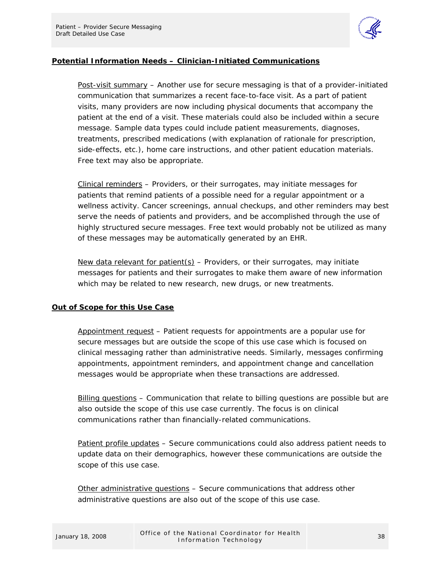

#### **Potential Information Needs – Clinician-Initiated Communications**

Post-visit summary – Another use for secure messaging is that of a provider-initiated communication that summarizes a recent face-to-face visit. As a part of patient visits, many providers are now including physical documents that accompany the patient at the end of a visit. These materials could also be included within a secure message. Sample data types could include patient measurements, diagnoses, treatments, prescribed medications (with explanation of rationale for prescription, side-effects, etc.), home care instructions, and other patient education materials. Free text may also be appropriate.

Clinical reminders – Providers, or their surrogates, may initiate messages for patients that remind patients of a possible need for a regular appointment or a wellness activity. Cancer screenings, annual checkups, and other reminders may best serve the needs of patients and providers, and be accomplished through the use of highly structured secure messages. Free text would probably not be utilized as many of these messages may be automatically generated by an EHR.

New data relevant for patient(s) – Providers, or their surrogates, may initiate messages for patients and their surrogates to make them aware of new information which may be related to new research, new drugs, or new treatments.

#### **Out of Scope for this Use Case**

Appointment request – Patient requests for appointments are a popular use for secure messages but are outside the scope of this use case which is focused on clinical messaging rather than administrative needs. Similarly, messages confirming appointments, appointment reminders, and appointment change and cancellation messages would be appropriate when these transactions are addressed.

Billing questions – Communication that relate to billing questions are possible but are also outside the scope of this use case currently. The focus is on clinical communications rather than financially-related communications.

Patient profile updates – Secure communications could also address patient needs to update data on their demographics, however these communications are outside the scope of this use case.

Other administrative questions – Secure communications that address other administrative questions are also out of the scope of this use case.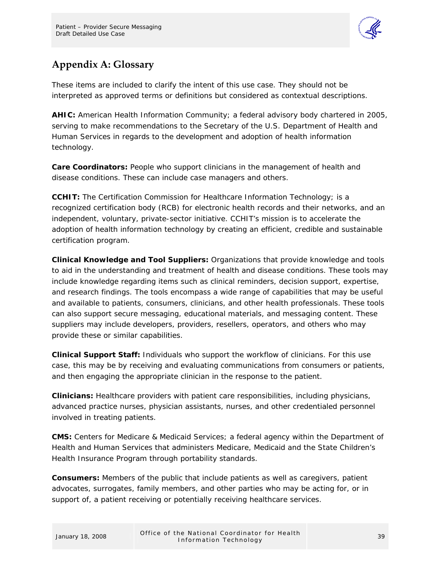

## <span id="page-41-0"></span>**Appendix A: Glossary**

These items are included to clarify the intent of this use case. They should not be interpreted as approved terms or definitions but considered as contextual descriptions.

**AHIC:** American Health Information Community; a federal advisory body chartered in 2005, serving to make recommendations to the Secretary of the U.S. Department of Health and Human Services in regards to the development and adoption of health information technology.

**Care Coordinators:** People who support clinicians in the management of health and disease conditions. These can include case managers and others.

**CCHIT:** The Certification Commission for Healthcare Information Technology; is a recognized certification body (RCB) for electronic health records and their networks, and an independent, voluntary, private-sector initiative. CCHIT's mission is to accelerate the adoption of health information technology by creating an efficient, credible and sustainable certification program.

**Clinical Knowledge and Tool Suppliers:** Organizations that provide knowledge and tools to aid in the understanding and treatment of health and disease conditions. These tools may include knowledge regarding items such as clinical reminders, decision support, expertise, and research findings. The tools encompass a wide range of capabilities that may be useful and available to patients, consumers, clinicians, and other health professionals. These tools can also support secure messaging, educational materials, and messaging content. These suppliers may include developers, providers, resellers, operators, and others who may provide these or similar capabilities.

**Clinical Support Staff:** Individuals who support the workflow of clinicians. For this use case, this may be by receiving and evaluating communications from consumers or patients, and then engaging the appropriate clinician in the response to the patient.

**Clinicians:** Healthcare providers with patient care responsibilities, including physicians, advanced practice nurses, physician assistants, nurses, and other credentialed personnel involved in treating patients.

**CMS:** Centers for Medicare & Medicaid Services; a federal agency within the Department of Health and Human Services that administers Medicare, Medicaid and the State Children's Health Insurance Program through portability standards.

**Consumers:** Members of the public that include patients as well as caregivers, patient advocates, surrogates, family members, and other parties who may be acting for, or in support of, a patient receiving or potentially receiving healthcare services.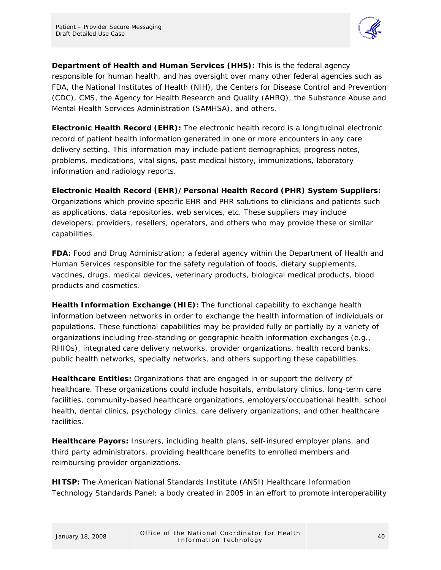

**Department of Health and Human Services (HHS):** This is the federal agency responsible for human health, and has oversight over many other federal agencies such as FDA, the National Institutes of Health (NIH), the Centers for Disease Control and Prevention (CDC), CMS, the Agency for Health Research and Quality (AHRQ), the Substance Abuse and Mental Health Services Administration (SAMHSA), and others.

**Electronic Health Record (EHR):** The electronic health record is a longitudinal electronic record of patient health information generated in one or more encounters in any care delivery setting. This information may include patient demographics, progress notes, problems, medications, vital signs, past medical history, immunizations, laboratory information and radiology reports.

**Electronic Health Record (EHR)/Personal Health Record (PHR) System Suppliers:**  Organizations which provide specific EHR and PHR solutions to clinicians and patients such as applications, data repositories, web services, etc. These suppliers may include developers, providers, resellers, operators, and others who may provide these or similar capabilities.

**FDA:** Food and Drug Administration; a federal agency within the Department of Health and Human Services responsible for the safety regulation of foods, dietary supplements, vaccines, drugs, medical devices, veterinary products, biological medical products, blood products and cosmetics.

**Health Information Exchange (HIE):** The functional capability to exchange health information between networks in order to exchange the health information of individuals or populations. These functional capabilities may be provided fully or partially by a variety of organizations including free-standing or geographic health information exchanges (e.g., RHIOs), integrated care delivery networks, provider organizations, health record banks, public health networks, specialty networks, and others supporting these capabilities.

**Healthcare Entities:** Organizations that are engaged in or support the delivery of healthcare. These organizations could include hospitals, ambulatory clinics, long-term care facilities, community-based healthcare organizations, employers/occupational health, school health, dental clinics, psychology clinics, care delivery organizations, and other healthcare facilities.

**Healthcare Payors:** Insurers, including health plans, self-insured employer plans, and third party administrators, providing healthcare benefits to enrolled members and reimbursing provider organizations.

**HITSP:** The American National Standards Institute (ANSI) Healthcare Information Technology Standards Panel; a body created in 2005 in an effort to promote interoperability